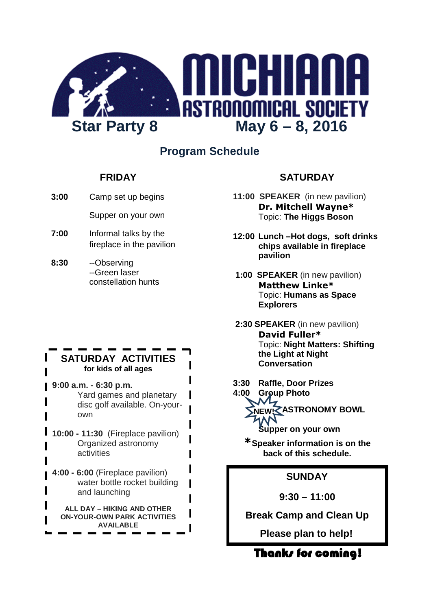

## **Program Schedule**

### **FRIDAY**

- **3:00** Camp set up begins
	- Supper on your own
- **7:00** Informal talks by the fireplace in the pavilion
- **8:30** --Observing --Green laser constellation hunts

### **SATURDAY ACTIVITIES for kids of all ages**

**9:00 a.m. - 6:30 p.m.** Yard games and planetary disc golf available. On-yourown

- **10:00 11:30** (Fireplace pavilion) Organized astronomy activities
	- **4:00 6:00** (Fireplace pavilion) water bottle rocket building and launching

**ALL DAY – HIKING AND OTHER ON-YOUR-OWN PARK ACTIVITIES AVAILABLE**

## **SATURDAY**

- **11:00 SPEAKER** (in new pavilion) **Dr. Mitchell Wayne\*** Topic: **The Higgs Boson**
- **12:00 Lunch –Hot dogs, soft drinks chips available in fireplace pavilion**
- **1:00 SPEAKER** (in new pavilion) **Matthew Linke\*** Topic: **Humans as Space Explorers**
- **2:30 SPEAKER** (in new pavilion) **David Fuller\*** Topic: **Night Matters: Shifting the Light at Night Conversation**
- **3:30 Raffle, Door Prizes**

**4:00 Group Photo ASTRONOMY BOWL NEW!Supper on your own**

**\*Speaker information is on the back of this schedule.**

## **SUNDAY**

**9:30 – 11:00**

**Break Camp and Clean Up**

**Please plan to help!**

Thanks for coming!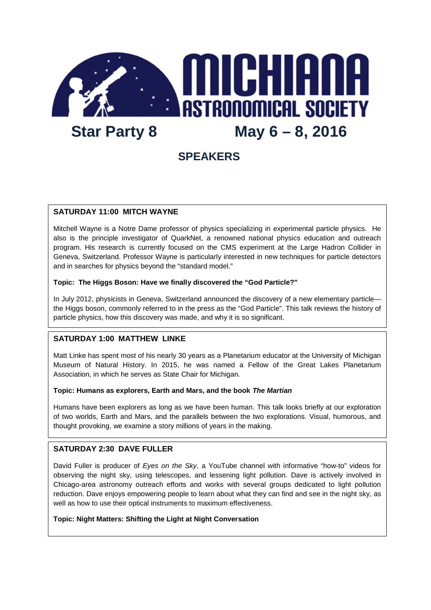

## **SPEAKERS**

#### **SATURDAY 11:00 MITCH WAYNE**

Mitchell Wayne is a Notre Dame professor of physics specializing in experimental particle physics. He also is the principle investigator of QuarkNet, a renowned national physics education and outreach program. His research is currently focused on the CMS experiment at the Large Hadron Collider in Geneva, Switzerland. Professor Wayne is particularly interested in new techniques for particle detectors and in searches for physics beyond the "standard model."

#### **Topic: The Higgs Boson: Have we finally discovered the "God Particle?"**

In July 2012, physicists in Geneva, Switzerland announced the discovery of a new elementary particle the Higgs boson, commonly referred to in the press as the "God Particle". This talk reviews the history of particle physics, how this discovery was made, and why it is so significant.

#### **SATURDAY 1:00 MATTHEW LINKE**

Matt Linke has spent most of his nearly 30 years as a Planetarium educator at the University of Michigan Museum of Natural History. In 2015, he was named a Fellow of the Great Lakes Planetarium Association, in which he serves as State Chair for Michigan.

#### **Topic: Humans as explorers, Earth and Mars, and the book** *The Martian*

Humans have been explorers as long as we have been human. This talk looks briefly at our exploration of two worlds, Earth and Mars, and the parallels between the two explorations. Visual, humorous, and thought provoking, we examine a story millions of years in the making.

#### **SATURDAY 2:30 DAVE FULLER**

David Fuller is producer of *Eyes on the Sky*, a YouTube channel with informative "how-to" videos for observing the night sky, using telescopes, and lessening light pollution. Dave is actively involved in Chicago-area astronomy outreach efforts and works with several groups dedicated to light pollution reduction. Dave enjoys empowering people to learn about what they can find and see in the night sky, as well as how to use their optical instruments to maximum effectiveness.

#### **Topic: Night Matters: Shifting the Light at Night Conversation**